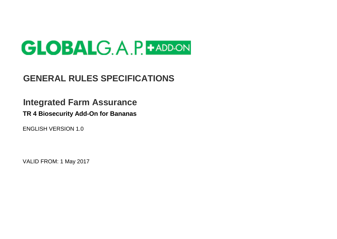

## **GENERAL RULES SPECIFICATIONS**

# **Integrated Farm Assurance**

**TR 4 Biosecurity Add-On for Bananas**

ENGLISH VERSION 1.0

VALID FROM: 1 May 2017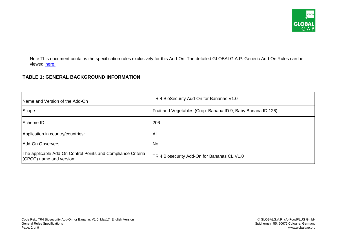

Note:This document contains the specification rules exclusively for this Add-On. The detailed GLOBALG.A.P. Generic Add-On Rules can be viewe[d here.](http://www.globalgap.org/export/sites/default/.content/.galleries/documents/140616_gg_add-on_GR_V1-0_en.pdf)

#### **TABLE 1: GENERAL BACKGROUND INFORMATION**

| Name and Version of the Add-On                                                           | TR 4 BioSecurity Add-On for Bananas V1.0                      |
|------------------------------------------------------------------------------------------|---------------------------------------------------------------|
| Scope:                                                                                   | [Fruit and Vegetables (Crop: Banana ID 9; Baby Banana ID 126) |
| Scheme ID:                                                                               | 206                                                           |
| Application in country/countries:                                                        | All                                                           |
| Add-On Observers:                                                                        | No                                                            |
| The applicable Add-On Control Points and Compliance Criteria<br>(CPCC) name and version: | TR 4 Biosecurity Add-On for Bananas CL V1.0                   |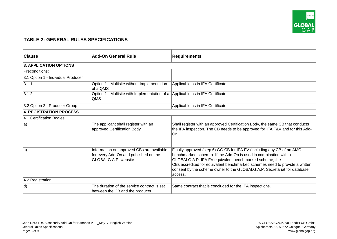

### **TABLE 2: GENERAL RULES SPECIFICATIONS**

| <b>Clause</b>                      | <b>Add-On General Rule</b>                                                                                  | <b>Requirements</b>                                                                                                                                                                                                                                                                                                                                                        |
|------------------------------------|-------------------------------------------------------------------------------------------------------------|----------------------------------------------------------------------------------------------------------------------------------------------------------------------------------------------------------------------------------------------------------------------------------------------------------------------------------------------------------------------------|
| <b>3. APPLICATION OPTIONS</b>      |                                                                                                             |                                                                                                                                                                                                                                                                                                                                                                            |
| Preconditions:                     |                                                                                                             |                                                                                                                                                                                                                                                                                                                                                                            |
| 3.1 Option 1 - Individual Producer |                                                                                                             |                                                                                                                                                                                                                                                                                                                                                                            |
| 3.1.1                              | Option 1 - Multisite without Implementation<br>of a QMS                                                     | Applicable as in IFA Certificate                                                                                                                                                                                                                                                                                                                                           |
| 3.1.2                              | Option 1 - Multisite with Implementation of a Applicable as in IFA Certificate<br>QMS                       |                                                                                                                                                                                                                                                                                                                                                                            |
| 3.2 Option 2 - Producer Group      |                                                                                                             | Applicable as in IFA Certificate                                                                                                                                                                                                                                                                                                                                           |
| 4. REGISTRATION PROCESS            |                                                                                                             |                                                                                                                                                                                                                                                                                                                                                                            |
| 4.1 Certification Bodies           |                                                                                                             |                                                                                                                                                                                                                                                                                                                                                                            |
| $ a\rangle$                        | The applicant shall register with an<br>approved Certification Body.                                        | Shall register with an approved Certification Body, the same CB that conducts<br>the IFA inspection. The CB needs to be approved for IFA F&V and for this Add-<br>∣On.                                                                                                                                                                                                     |
| c)                                 | Information on approved CBs are available<br>for every Add-On and published on the<br>GLOBALG.A.P. website. | Finally approved (step 6) GG CB for IFA FV (including any CB of an AMC<br>benchmarked scheme). If the Add-On is used in combination with a<br>GLOBALG.A.P. IFA FV equivalent benchmarked scheme, the<br>CBs accredited for equivalent benchmarked schemes need to provide a written<br>consent by the scheme owner to the GLOBALG.A.P. Secretariat for database<br>access. |
| 4.2 Registration                   |                                                                                                             |                                                                                                                                                                                                                                                                                                                                                                            |
| d)                                 | The duration of the service contract is set<br>between the CB and the producer.                             | Same contract that is concluded for the IFA inspections.                                                                                                                                                                                                                                                                                                                   |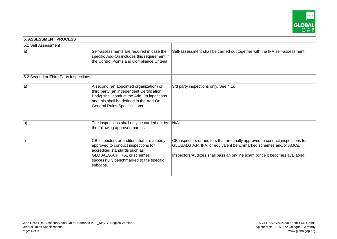

| <b>5. ASSESSMENT PROCESS</b>          |                                                                                                                                                                                                               |                                                                                                                                                                                                                                   |
|---------------------------------------|---------------------------------------------------------------------------------------------------------------------------------------------------------------------------------------------------------------|-----------------------------------------------------------------------------------------------------------------------------------------------------------------------------------------------------------------------------------|
| 5.1 Self Assessment                   |                                                                                                                                                                                                               |                                                                                                                                                                                                                                   |
| $ a\rangle$                           | Self-assessments are required in case the<br>specific Add-On includes this requirement in<br>the Control Points and Compliance Criteria.                                                                      | Self-assessment shall be carried out together with the IFA self-assessment.                                                                                                                                                       |
| 5.2 Second or Third Party Inspections |                                                                                                                                                                                                               |                                                                                                                                                                                                                                   |
| $ a\rangle$                           | A second (an appointed organization) or<br>third party (an independent Certification<br>Body) shall conduct the Add-On inpections<br>and this shall be defined in the Add-On<br>General Rules Specifications. | 3rd party inspections only. See 4.1c                                                                                                                                                                                              |
| <sub>b</sub>                          | The inspections shall only be carried out by<br>the following approved parties:                                                                                                                               | N/A                                                                                                                                                                                                                               |
| $\vert$ i)                            | CB inspectors or auditors that are already<br>approved to conduct inspections for<br>accredited standards such as<br>GLOBALG.A.P. IFA, or schemes<br>successfully benchmarked to the specific<br>subcope.     | CB inspectors or auditors that are finally approved to conduct inspections for<br>GLOBALG.A.P. IFA, or equivalent benchmarked schemes and/or AMCs.<br>Inspectors/Auditors shall pass an on-line exam (once it becomes available). |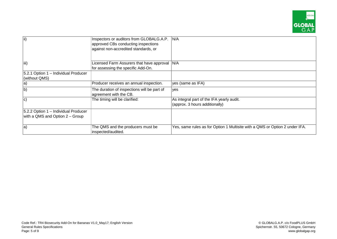

| $\vert$ ii)                          | Inspectors or auditors from GLOBALG.A.P.<br>approved CBs conducting inspections<br>against non-accredited standards, or | N/A                                                                         |
|--------------------------------------|-------------------------------------------------------------------------------------------------------------------------|-----------------------------------------------------------------------------|
| liii)                                | Licensed Farm Assurers that have approval   N/A<br>for assessing the specific Add-On.                                   |                                                                             |
| 5.2.1 Option 1 – Individual Producer |                                                                                                                         |                                                                             |
| (without QMS)                        |                                                                                                                         |                                                                             |
| $ a\rangle$                          | Producer receives an annual inspection.                                                                                 | yes (same as IFA)                                                           |
| b)                                   | The duration of inspections will be part of<br>agreement with the CB.                                                   | ves                                                                         |
| $ {\rm c})$                          | The timing will be clarified:                                                                                           | As integral part of the IFA yearly audit.                                   |
|                                      |                                                                                                                         | (approx. 3 hours additionally)                                              |
| 5.2.2 Option 1 – Individual Producer |                                                                                                                         |                                                                             |
| with a QMS and Option 2 - Group      |                                                                                                                         |                                                                             |
| la)                                  | The QMS and the producers must be<br>inspected/audited.                                                                 | Yes, same rules as for Option 1 Multisite with a QMS or Option 2 under IFA. |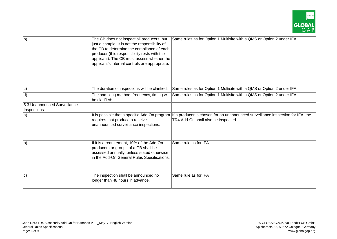

| $\overline{b}$               | The CB does not inspect all producers, but<br>just a sample. It is not the responsibility of<br>the CB to determine the compliance of each<br>producer (this responsibility rests with the<br>applicant). The CB must assess whether the<br>applicant's internal controls are appropriate. | Same rules as for Option 1 Multisite with a QMS or Option 2 under IFA.                                                                                                 |
|------------------------------|--------------------------------------------------------------------------------------------------------------------------------------------------------------------------------------------------------------------------------------------------------------------------------------------|------------------------------------------------------------------------------------------------------------------------------------------------------------------------|
| $ c\rangle$                  | The duration of inspections will be clarified:                                                                                                                                                                                                                                             | Same rules as for Option 1 Multisite with a QMS or Option 2 under IFA.                                                                                                 |
| d)                           | be clarified:                                                                                                                                                                                                                                                                              | The sampling method, frequency, timing will Same rules as for Option 1 Multisite with a QMS or Option 2 under IFA.                                                     |
| 5.3 Unannounced Surveillance |                                                                                                                                                                                                                                                                                            |                                                                                                                                                                        |
| Inspections                  |                                                                                                                                                                                                                                                                                            |                                                                                                                                                                        |
| $ a\rangle$                  | requires that producers receive<br>unannounced surveillance inspections.                                                                                                                                                                                                                   | It is possible that a specific Add-On program   If a producer is chosen for an unannounced surveillance inspection for IFA, the<br>TR4 Add-On shall also be inspected. |
| <sub>b</sub>                 | If it is a requirement, 10% of the Add-On<br>producers or groups of a CB shall be<br>assessed annually, unless stated otherwise<br>in the Add-On General Rules Specifications.                                                                                                             | Same rule as for IFA                                                                                                                                                   |
| c)                           | The inspection shall be announced no<br>longer than 48 hours in advance.                                                                                                                                                                                                                   | Same rule as for IFA                                                                                                                                                   |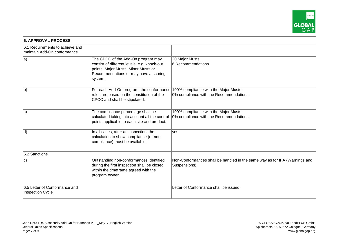

| <b>6. APPROVAL PROCESS</b>                                     |                                                                                                                                                                              |                                                                                             |
|----------------------------------------------------------------|------------------------------------------------------------------------------------------------------------------------------------------------------------------------------|---------------------------------------------------------------------------------------------|
| 6.1 Requirements to achieve and<br>maintain Add-On conformance |                                                                                                                                                                              |                                                                                             |
| $ a\rangle$                                                    | The CPCC of the Add-On program may<br>consist of different levels; e.g. knock-out<br>points, Major Musts, Minor Musts or<br>Recommendations or may have a scoring<br>system. | 20 Major Musts<br>6 Recommendations                                                         |
| b)                                                             | For each Add-On program, the conformance<br>rules are based on the constitution of the<br>CPCC and shall be stipulated:                                                      | 100% compliance with the Major Musts<br>0% compliance with the Recommendations              |
| c)                                                             | The compliance percentage shall be<br>calculated taking into account all the control<br>points applicable to each site and product.                                          | 100% compliance with the Major Musts<br>0% compliance with the Recommendations              |
| d)                                                             | In all cases, after an inspection, the<br>calculation to show compliance (or non-<br>compliance) must be available.                                                          | yes                                                                                         |
| 6.2 Sanctions                                                  |                                                                                                                                                                              |                                                                                             |
| c)                                                             | Outstanding non-conformances identified<br>during the first inspection shall be closed<br>within the timeframe agreed with the<br>program owner.                             | Non-Conformances shall be handled in the same way as for IFA (Warnings and<br>Suspensions). |
| 6.5 Letter of Conformance and<br><b>Inspection Cycle</b>       |                                                                                                                                                                              | Letter of Conformance shall be issued.                                                      |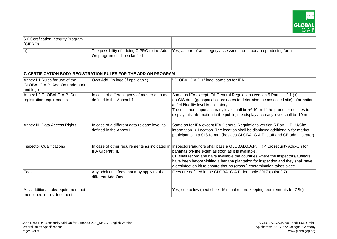

| 6.6 Certification Integrity Program<br>(CIPRO)                               |                                                                              |                                                                                                                                                                                                                                                                                                                                                                                 |
|------------------------------------------------------------------------------|------------------------------------------------------------------------------|---------------------------------------------------------------------------------------------------------------------------------------------------------------------------------------------------------------------------------------------------------------------------------------------------------------------------------------------------------------------------------|
| $ a\rangle$                                                                  | The possibility of adding CIPRO to the Add-<br>On program shall be clarified | Yes, as part of an integrity assessment on a banana producing farm.                                                                                                                                                                                                                                                                                                             |
|                                                                              | 7. CERTIFICATION BODY REGISTRATION RULES FOR THE ADD-ON PROGRAM              |                                                                                                                                                                                                                                                                                                                                                                                 |
| Annex I.1 Rules for use of the<br>GLOBALG.A.P. Add-On trademark<br>and logo. | Own Add-On logo (if applicable)                                              | "GLOBALG.A.P.+" logo, same as for IFA.                                                                                                                                                                                                                                                                                                                                          |
| Annex I.2 GLOBALG.A.P. Data<br>registration requirements                     | In case of different types of master data as<br>defined in the Annex I.1.    | Same as IFA except IFA General Regulations version 5 Part I. 1.2.1 (x)<br>(x) GIS data (geospatial coordinates to determine the assessed site) information<br>at field/facility level is obligatory.<br>The minimum input accuracy level shall be +/-10 m. If the producer decides to<br>display this information to the public, the display accuracy level shall be 10 m.      |
| Annex III: Data Access Rights                                                | In case of a different data release level as<br>defined in the Annex III.    | Same as for IFA except IFA General Regulations version 5 Part I. PHU/Site<br>information -> Location. The location shall be displayed additionally for market<br>participants in a GIS format (besides GLOBALG.A.P. staff and CB administrator).                                                                                                                                |
| <b>Inspector Qualifications</b>                                              | In case of other requirements as indicated in<br>IFA GR Part III.            | Inspectors/auditors shall pass a GLOBALG.A.P. TR 4 Biosecurity Add-On for<br>bananas on-line exam as soon as it is available.<br>CB shall record and have available the countries where the inspectors/auditors<br>have been before visiting a banana plantation for inspection and they shall have<br>a desinfection kit to ensure that no (cross-) contamination takes place. |
| Fees                                                                         | Any additional fees that may apply for the<br>different Add-Ons.             | Fees are defined in the GLOBALG.A.P. fee table 2017 (point 2.7).                                                                                                                                                                                                                                                                                                                |
| Any additional rule/requirement not<br>mentioned in this document:           |                                                                              | Yes, see below (next sheet: Minimal record keeping requirements for CBs).                                                                                                                                                                                                                                                                                                       |